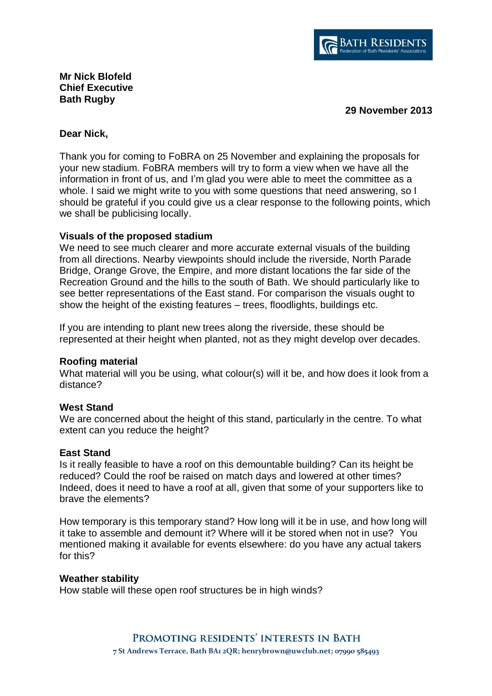

# **Mr Nick Blofeld Chief Executive Bath Rugby**

**29 November 2013**

### **Dear Nick,**

Thank you for coming to FoBRA on 25 November and explaining the proposals for your new stadium. FoBRA members will try to form a view when we have all the information in front of us, and I'm glad you were able to meet the committee as a whole. I said we might write to you with some questions that need answering, so I should be grateful if you could give us a clear response to the following points, which we shall be publicising locally.

## **Visuals of the proposed stadium**

We need to see much clearer and more accurate external visuals of the building from all directions. Nearby viewpoints should include the riverside, North Parade Bridge, Orange Grove, the Empire, and more distant locations the far side of the Recreation Ground and the hills to the south of Bath. We should particularly like to see better representations of the East stand. For comparison the visuals ought to show the height of the existing features – trees, floodlights, buildings etc.

If you are intending to plant new trees along the riverside, these should be represented at their height when planted, not as they might develop over decades.

# **Roofing material**

What material will you be using, what colour(s) will it be, and how does it look from a distance?

#### **West Stand**

We are concerned about the height of this stand, particularly in the centre. To what extent can you reduce the height?

#### **East Stand**

Is it really feasible to have a roof on this demountable building? Can its height be reduced? Could the roof be raised on match days and lowered at other times? Indeed, does it need to have a roof at all, given that some of your supporters like to brave the elements?

How temporary is this temporary stand? How long will it be in use, and how long will it take to assemble and demount it? Where will it be stored when not in use? You mentioned making it available for events elsewhere: do you have any actual takers for this?

#### **Weather stability**

How stable will these open roof structures be in high winds?